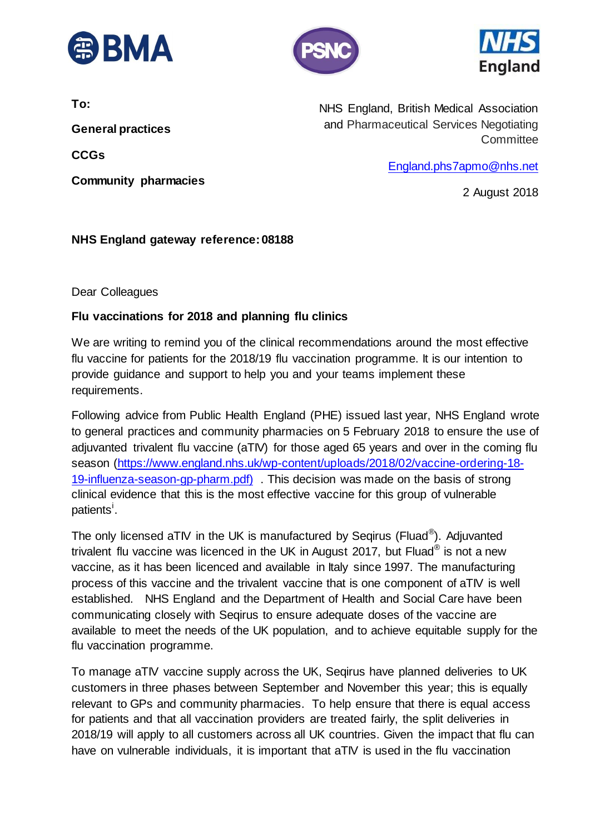





**To:** 

**General practices** 

**CCGs**

**Community pharmacies** 

NHS England, British Medical Association and Pharmaceutical Services Negotiating **Committee** 

[England.phs7apmo@nhs.net](mailto:England.phs7apmo@nhs.net)

2 August 2018

## **NHS England gateway reference: 08188**

Dear Colleagues

## **Flu vaccinations for 2018 and planning flu clinics**

We are writing to remind you of the clinical recommendations around the most effective flu vaccine for patients for the 2018/19 flu vaccination programme. It is our intention to provide guidance and support to help you and your teams implement these requirements.

Following advice from Public Health England (PHE) issued last year, NHS England wrote to general practices and community pharmacies on 5 February 2018 to ensure the use of adjuvanted trivalent flu vaccine (aTIV) for those aged 65 years and over in the coming flu season [\(https://www.england.nhs.uk/wp-content/uploads/2018/02/vaccine-ordering-18-](https://www.england.nhs.uk/wp-content/uploads/2018/02/vaccine-ordering-18-19-influenza-season-gp-pharm.pdf) [19-influenza-season-gp-pharm.pdf\)](https://www.england.nhs.uk/wp-content/uploads/2018/02/vaccine-ordering-18-19-influenza-season-gp-pharm.pdf) . This decision was made on the basis of strong clinical evidence that this is the most effective vaccine for this group of vulnerable patients<sup>i</sup>.

The only licensed aTIV in the UK is manufactured by Seqirus (Fluad®). Adjuvanted trivalent flu vaccine was licenced in the UK in August 2017, but Fluad<sup>®</sup> is not a new vaccine, as it has been licenced and available in Italy since 1997. The manufacturing process of this vaccine and the trivalent vaccine that is one component of aTIV is well established. NHS England and the Department of Health and Social Care have been communicating closely with Seqirus to ensure adequate doses of the vaccine are available to meet the needs of the UK population, and to achieve equitable supply for the flu vaccination programme.

To manage aTIV vaccine supply across the UK, Seqirus have planned deliveries to UK customers in three phases between September and November this year; this is equally relevant to GPs and community pharmacies. To help ensure that there is equal access for patients and that all vaccination providers are treated fairly, the split deliveries in 2018/19 will apply to all customers across all UK countries. Given the impact that flu can have on vulnerable individuals, it is important that aTIV is used in the flu vaccination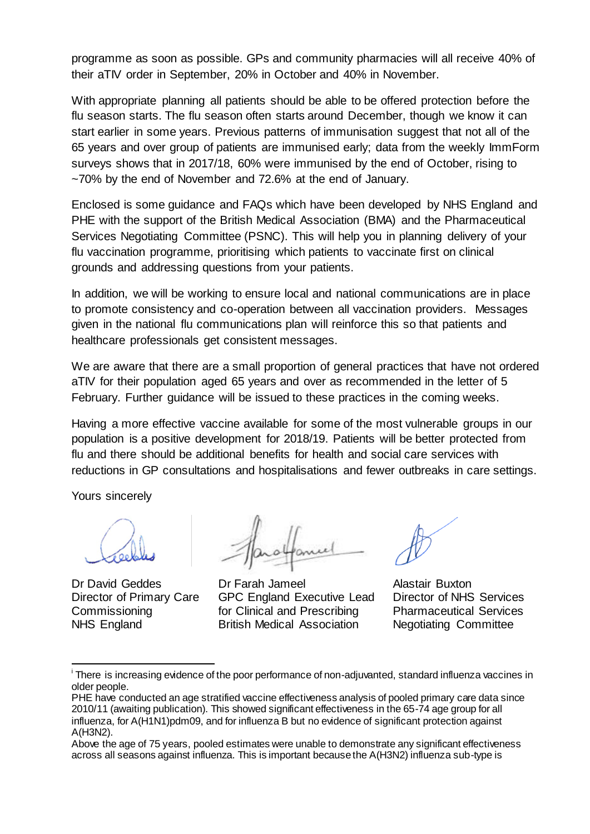programme as soon as possible. GPs and community pharmacies will all receive 40% of their aTIV order in September, 20% in October and 40% in November.

With appropriate planning all patients should be able to be offered protection before the flu season starts. The flu season often starts around December, though we know it can start earlier in some years. Previous patterns of immunisation suggest that not all of the 65 years and over group of patients are immunised early; data from the weekly ImmForm surveys shows that in 2017/18, 60% were immunised by the end of October, rising to ~70% by the end of November and 72.6% at the end of January.

Enclosed is some guidance and FAQs which have been developed by NHS England and PHE with the support of the British Medical Association (BMA) and the Pharmaceutical Services Negotiating Committee (PSNC). This will help you in planning delivery of your flu vaccination programme, prioritising which patients to vaccinate first on clinical grounds and addressing questions from your patients.

In addition, we will be working to ensure local and national communications are in place to promote consistency and co-operation between all vaccination providers. Messages given in the national flu communications plan will reinforce this so that patients and healthcare professionals get consistent messages.

We are aware that there are a small proportion of general practices that have not ordered aTIV for their population aged 65 years and over as recommended in the letter of 5 February. Further guidance will be issued to these practices in the coming weeks.

Having a more effective vaccine available for some of the most vulnerable groups in our population is a positive development for 2018/19. Patients will be better protected from flu and there should be additional benefits for health and social care services with reductions in GP consultations and hospitalisations and fewer outbreaks in care settings.

Yours sincerely

1

Director of Primary Care **Commissioning** NHS England

Dr David Geddes Dr Farah Jameel Alastair Buxton GPC England Executive Lead for Clinical and Prescribing British Medical Association

Director of NHS Services Pharmaceutical Services Negotiating Committee

<sup>&</sup>lt;sup>i</sup> There is increasing evidence of the poor performance of non-adjuvanted, standard influenza vaccines in older people.

PHE have conducted an age stratified vaccine effectiveness analysis of pooled primary care data since 2010/11 (awaiting publication). This showed significant effectiveness in the 65-74 age group for all influenza, for A(H1N1)pdm09, and for influenza B but no evidence of significant protection against A(H3N2).

Above the age of 75 years, pooled estimates were unable to demonstrate any significant effectiveness across all seasons against influenza. This is important because the A(H3N2) influenza sub-type is